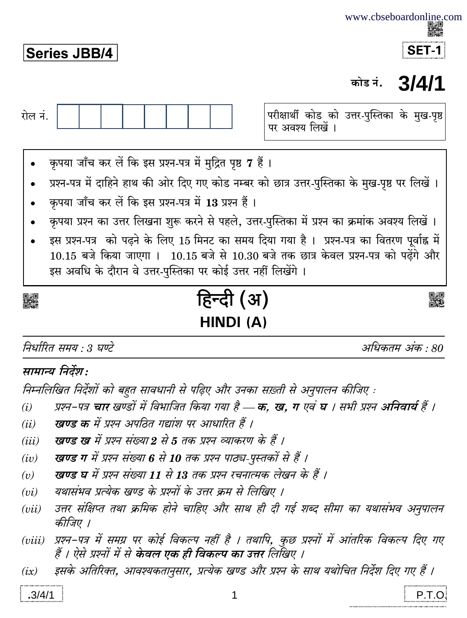## **Series JBB/4**



#### 3/4/1 कोड नं.



# HINDI (A)

निर्धारित समय  $\cdot$  3 घण्टे

अधिकतम अंक  $\cdot$  80

### सामान्य निर्देश:

निम्नलिखित निर्देशों को बहुत सावधानी से पढ़िए और उनका सख़्ती से अनुपालन कीजिए :

- प्रश्न-पत्र चार खण्डों में विभाजित किया गया है क. ख. ग एवं घ । सभी प्रश्न अनिवार्य हैं ।  $(i)$
- खण्ड क में प्रश्न अपठित गद्यांश पर आधारित हैं ।  $(ii)$
- खण्ड ख में प्रश्न संख्या 2 से 5 तक प्रश्न व्याकरण के हैं ।  $(iii)$
- खण्ड ग में प्रश्न संख्या 6 से 10 तक प्रश्न पाठ्य-पुस्तकों से हैं ।  $(iv)$
- खण्ड घ में प्रश्न संख्या 11 से 13 तक प्रश्न रचनात्मक लेखन के हैं ।  $(v)$
- यथासंभव प्रत्येक खण्ड के प्रश्नों के उत्तर क्रम से लिखिए ।  $(vi)$
- उत्तर संक्षिप्त तथा क्रमिक होने चाहिए और साथ ही दी गई शब्द सीमा का यथासंभव अनुपालन  $(vii)$ कीजिए ।
- प्रश्न-पत्र में समग्र पर कोई विकल्प नहीं है । तथापि, कुछ प्रश्नों में आंतरिक विकल्प दिए गए  $(viii)$ हैं । ऐसे प्रश्नों में से केवल एक ही विकल्प का उत्तर लिखिए ।
- इसके अतिरिक्त, आवश्यकतानुसार, प्रत्येक खण्ड और प्रश्न के साथ यथोचित निर्देश दिए गए हैं ।  $(ix)$

P.T.O.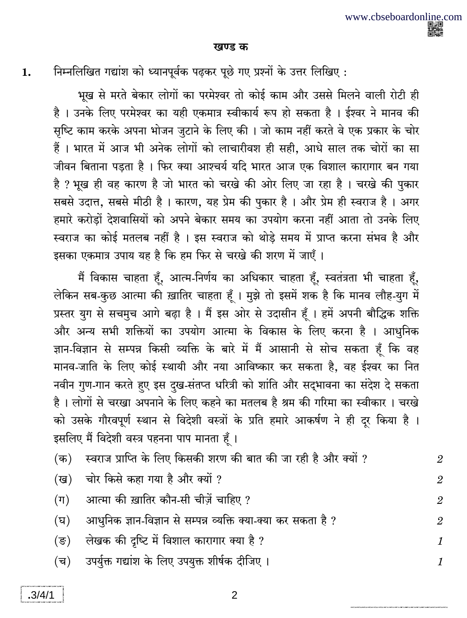#### खण्ड क

1.

निम्नलिखित गद्यांश को ध्यानपूर्वक पढ़कर पूछे गए प्रश्नों के उत्तर लिखिए:

भूख से मरते बेकार लोगों का परमेश्वर तो कोई काम और उससे मिलने वाली रोटी ही है । उनके लिए परमेश्वर का यही एकमात्र स्वीकार्य रूप हो सकता है । ईश्वर ने मानव की सृष्टि काम करके अपना भोजन जुटाने के लिए की । जो काम नहीं करते वे एक प्रकार के चोर हैं। भारत में आज भी अनेक लोगों को लाचारीवश ही सही, आधे साल तक चोरों का सा जीवन बिताना पडता है । फिर क्या आश्चर्य यदि भारत आज एक विशाल कारागार बन गया है ? भूख ही वह कारण है जो भारत को चरखे की ओर लिए जा रहा है । चरखे की पुकार सबसे उदात्त, सबसे मीठी है । कारण, यह प्रेम की पुकार है । और प्रेम ही स्वराज है । अगर हमारे करोडों देशवासियों को अपने बेकार समय का उपयोग करना नहीं आता तो उनके लिए स्वराज का कोई मतलब नहीं है । इस स्वराज को थोडे समय में प्राप्त करना संभव है और इसका एकमात्र उपाय यह है कि हम फिर से चरखे की शरण में जाएँ।

मैं विकास चाहता हूँ, आत्म-निर्णय का अधिकार चाहता हूँ, स्वतंत्रता भी चाहता हूँ, लेकिन सब-कुछ आत्मा की ख़ातिर चाहता हूँ। मुझे तो इसमें शक है कि मानव लौह-युग में प्रस्तर युग से सचमुच आगे बढ़ा है । मैं इस ओर से उदासीन हूँ । हमें अपनी बौद्धिक शक्ति और अन्य सभी शक्तियों का उपयोग आत्मा के विकास के लिए करना है । आधुनिक ज्ञान-विज्ञान से सम्पन्न किसी व्यक्ति के बारे में मैं आसानी से सोच सकता हूँ कि वह मानव-जाति के लिए कोई स्थायी और नया आविष्कार कर सकता है, वह ईश्वर का नित नवीन गुण-गान करते हुए इस दुख-संतप्त धरित्री को शांति और सद्भावना का संदेश दे सकता है। लोगों से चरखा अपनाने के लिए कहने का मतलब है श्रम की गरिमा का स्वीकार। चरखे को उसके गौरवपूर्ण स्थान से विदेशी वस्त्रों के प्रति हमारे आकर्षण ने ही दूर किया है । इसलिए मैं विदेशी वस्त्र पहनना पाप मानता हूँ।

| (क)              | स्वराज प्राप्ति के लिए किसकी शरण की बात की जा रही है और क्यों ? | $\mathcal{D}_{\mathcal{L}}$ |
|------------------|-----------------------------------------------------------------|-----------------------------|
| (ख)              | चोर किसे कहा गया है और क्यों ?                                  | $\overline{2}$              |
| $(\Pi)$          | आत्मा की ख़ातिर कौन-सी चीज़ें चाहिए ?                           | $\overline{2}$              |
| (घ)              | आधुनिक ज्ञान-विज्ञान से सम्पन्न व्यक्ति क्या-क्या कर सकता है ?  | $\mathcal{D}_{\mathcal{L}}$ |
| $(\overline{s})$ | लेखक की दृष्टि में विशाल कारागार क्या है ?                      | $\mathcal I$                |
| (च)              | उपर्युक्त गद्यांश के लिए उपयुक्त शीर्षक दीजिए ।                 | $\mathcal I$                |
|                  |                                                                 |                             |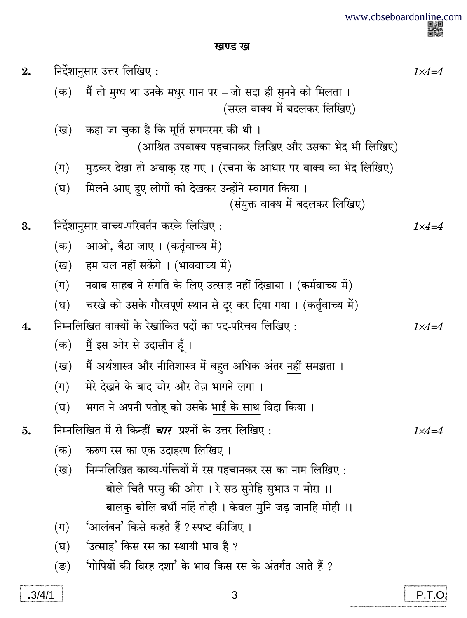www.cbseboardonline.com<br>電磁<br>画像

खण्ड ख

| 2.     | निर्देशानुसार उत्तर लिखिए:                              |                                                                                       |                  |
|--------|---------------------------------------------------------|---------------------------------------------------------------------------------------|------------------|
|        |                                                         | (क) मैं तो मुग्ध था उनके मधुर गान पर – जो सदा ही सुनने को मिलता ।                     |                  |
|        |                                                         | (सरल वाक्य में बदलकर लिखिए)                                                           |                  |
|        | (ख)                                                     | कहा जा चुका है कि मूर्ति संगमरमर की थी ।                                              |                  |
|        |                                                         | (आश्रित उपवाक्य पहचानकर लिखिए और उसका भेद भी लिखिए)                                   |                  |
|        | $(\Pi)$                                                 | मुड़कर देखा तो अवाक् रह गए । (रचना के आधार पर वाक्य का भेद लिखिए)                     |                  |
|        | (घ)                                                     | मिलने आए हुए लोगों को देखकर उन्होंने स्वागत किया ।<br>(संयुक्त वाक्य में बदलकर लिखिए) |                  |
| 3.     |                                                         | निर्देशानुसार वाच्य-परिवर्तन करके लिखिए :                                             | $1 \times 4 = 4$ |
|        | (क)                                                     | आओ, बैठा जाए । (कर्तृवाच्य में)                                                       |                  |
|        | (ख)                                                     | हम चल नहीं सकेंगे। (भाववाच्य में)                                                     |                  |
|        | $(\Pi)$                                                 | नवाब साहब ने संगति के लिए उत्साह नहीं दिखाया। (कर्मवाच्य में)                         |                  |
|        | (घ)                                                     | चरखे को उसके गौरवपूर्ण स्थान से दूर कर दिया गया । (कर्तृवाच्य में)                    |                  |
| 4.     | निम्नलिखित वाक्यों के रेखांकित पदों का पद-परिचय लिखिए : |                                                                                       | $1 \times 4 = 4$ |
|        | (क)                                                     | <u>मैं</u> इस ओर से उदासीन हूँ ।                                                      |                  |
|        |                                                         | (ख)   मैं अर्थशास्त्र और नीतिशास्त्र में बहुत अधिक अंतर नहीं समझता ।                  |                  |
|        | $(\Pi)$                                                 | मेरे देखने के बाद चोर और तेज़ भागने लगा ।                                             |                  |
|        | (घ)                                                     | भगत ने अपनी पतोहू को उसके भाई के साथ विदा किया ।                                      |                  |
| 5.     |                                                         | निम्नलिखित में से किन्हीं <i>चार</i> प्रश्नों के उत्तर लिखिए :                        | $1 \times 4 = 4$ |
|        | (क)                                                     | करुण रस का एक उदाहरण लिखिए ।                                                          |                  |
|        | (ख)                                                     | निम्नलिखित काव्य-पंक्तियों में रस पहचानकर रस का नाम लिखिए :                           |                  |
|        |                                                         | बोले चितै परसु की ओरा । रे सठ सुनेहि सुभाउ न मोरा ।।                                  |                  |
|        |                                                         | बालकु बोलि बधौं नहिं तोही। केवल मुनि जड़ जानहि मोही ।।                                |                  |
|        | $(\Pi)$                                                 | 'आलंबन' किसे कहते हैं ? स्पष्ट कीजिए ।                                                |                  |
|        | (घ)                                                     | 'उत्साह' किस रस का स्थायी भाव है ?                                                    |                  |
|        | $(\overline{\mathbf{S}})$                               | 'गोपियों की विरह दशा' के भाव किस रस के अंतर्गत आते हैं ?                              |                  |
| .3/4/1 |                                                         | 3                                                                                     | P.T.O            |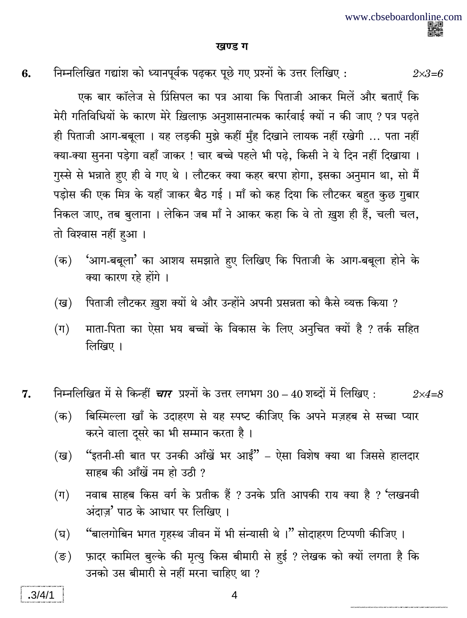$2 \times 3 = 6$ 

#### खण्ड ग

6.

निम्नलिखित गद्यांश को ध्यानपूर्वक पढ़कर पूछे गए प्रश्नों के उत्तर लिखिए:

एक बार कॉलेज से प्रिंसिपल का पत्र आया कि पिताजी आकर मिलें और बताएँ कि मेरी गतिविधियों के कारण मेरे ख़िलाफ़ अनुशासनात्मक कार्रवाई क्यों न की जाए ? पत्र पढते ही पिताजी आग-बबूला । यह लड़की मुझे कहीं मुँह दिखाने लायक नहीं रखेगी ... पता नहीं क्या-क्या सुनना पड़ेगा वहाँ जाकर ! चार बच्चे पहले भी पढ़े, किसी ने ये दिन नहीं दिखाया । गुस्से से भन्नाते हुए ही वे गए थे । लौटकर क्या कहर बरपा होगा, इसका अनुमान था, सो मैं पडोस की एक मित्र के यहाँ जाकर बैठ गई । माँ को कह दिया कि लौटकर बहत कुछ गुबार निकल जाए, तब बुलाना । लेकिन जब माँ ने आकर कहा कि वे तो ख़ुश ही हैं, चली चल, तो विश्वास नहीं हुआ।

- 'आग-बबूला' का आशय समझाते हुए लिखिए कि पिताजी के आग-बबूला होने के  $(\overline{a})$ क्या कारण रहे होंगे ।
- पिताजी लौटकर ख़ुश क्यों थे और उन्होंने अपनी प्रसन्नता को कैसे व्यक्त किया ? (ख)
- $(\Pi)$ माता-पिता का ऐसा भय बच्चों के विकास के लिए अनुचित क्यों है ? तर्क सहित लिखिए ।

निम्नलिखित में से किन्हीं *चार* प्रश्नों के उत्तर लगभग 30 – 40 शब्दों में लिखिए : 7.  $2 \times 4 = 8$ 

- बिस्मिल्ला खाँ के उदाहरण से यह स्पष्ट कीजिए कि अपने मज़हब से सच्चा प्यार  $(\overline{\mathbf{a}})$ करने वाला दुसरे का भी सम्मान करता है।
- "इतनी-सी बात पर उनकी आँखें भर आईं" ऐसा विशेष क्या था जिससे हालदार  $(\overline{g})$ साहब की आँखें नम हो उठी ?
- नवाब साहब किस वर्ग के प्रतीक हैं ? उनके प्रति आपकी राय क्या है ? 'लखनवी  $(\Pi)$ अंदाज' पाठ के आधार पर लिखिए।
- "बालगोबिन भगत गृहस्थ जीवन में भी संन्यासी थे।" सोदाहरण टिप्पणी कीजिए। (घ)
- $(\overline{S})$ फ़ादर कामिल बुल्के की मृत्यु किस बीमारी से हुई ? लेखक को क्यों लगता है कि उनको उस बीमारी से नहीं मरना चाहिए था ?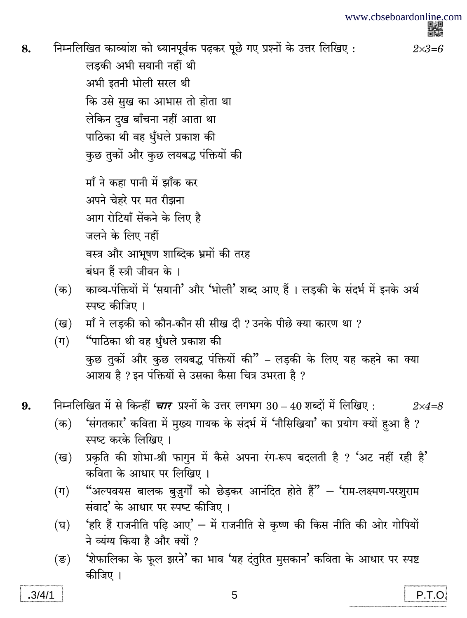$2 \times 3 = 6$ 

निम्नलिखित काव्यांश को ध्यानपूर्वक पढ़कर पूछे गए प्रश्नों के उत्तर लिखिए: 8.

> लड़की अभी सयानी नहीं थी अभी इतनी भोली सरल थी कि उसे सुख का आभास तो होता था लेकिन दुख बाँचना नहीं आता था पाठिका थी वह धूँधले प्रकाश की कुछ तुकों और कुछ लयबद्ध पंक्तियों की

माँ ने कहा पानी में झाँक कर अपने चेहरे पर मत रीझना आग रोटियाँ सेंकने के लिए है जलने के लिए नहीं वस्त्र और आभूषण शाब्दिक भ्रमों की तरह बंधन हैं स्त्री जीवन के ।

- काव्य-पंक्तियों में 'सयानी' और 'भोली' शब्द आए हैं । लड़की के संदर्भ में इनके अर्थ  $(\overline{a})$ स्पष्ट कीजिए ।
- माँ ने लड़की को कौन-कौन सी सीख दी ? उनके पीछे क्या कारण था ? (ख)
- "पाठिका थी वह धँधले प्रकाश की  $(\Pi)$ कुछ तुकों और कुछ लयबद्ध पंक्तियों की" – लडकी के लिए यह कहने का क्या आशय है ? इन पंक्तियों से उसका कैसा चित्र उभरता है ?
- निम्नलिखित में से किन्हीं *चार* प्रश्नों के उत्तर लगभग 30 40 शब्दों में लिखिए : 9.  $2\times4=8$ 
	- 'संगतकार' कविता में मुख्य गायक के संदर्भ में 'नौसिखिया' का प्रयोग क्यों हुआ है ?  $(\overline{a})$ स्पष्ट करके लिखिए ।
	- प्रकृति की शोभा-श्री फागुन में कैसे अपना रंग-रूप बदलती है ? 'अट नहीं रही है' (ख) कविता के आधार पर लिखिए।
	- "अल्पवयस बालक बुज़ुर्गों को छेड़कर आनंदित होते हैं" 'राम-लक्ष्मण-परशुराम  $(\Pi)$ संवाद' के आधार पर स्पष्ट कीजिए।
	- 'हरि हैं राजनीति पढ़ि आए' में राजनीति से कृष्ण की किस नीति की ओर गोपियों (घ) ने व्यंग्य किया है और क्यों ?
	- 'शेफालिका के फूल झरने' का भाव 'यह दंतुरित मुसकान' कविता के आधार पर स्पष्ट (ङ) कीजिए ।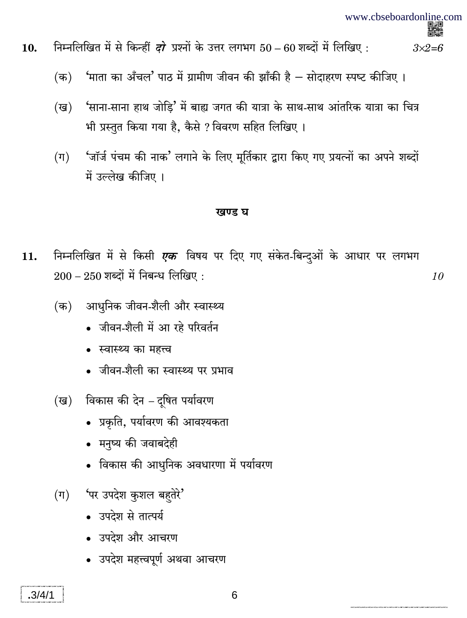10

- निम्नलिखित में से किन्हीं *दो* प्रश्नों के उत्तर लगभग 50 60 शब्दों में लिखिए : 10.  $3\times2=6$ 
	- 'माता का अँचल' पाठ में ग्रामीण जीवन की झाँकी है सोदाहरण स्पष्ट कीजिए ।  $(\overline{a})$
	- 'साना-साना हाथ जोडि' में बाह्य जगत की यात्रा के साथ-साथ आंतरिक यात्रा का चित्र (ख) भी प्रस्तुत किया गया है, कैसे ? विवरण सहित लिखिए।
	- 'जॉर्ज पंचम की नाक' लगाने के लिए मूर्तिकार द्वारा किए गए प्रयत्नों का अपने शब्दों  $(\Pi)$ में उल्लेख कीजिए ।

#### खण्ड घ

- निम्नलिखित में से किसी एक विषय पर दिए गए संकेत-बिन्दुओं के आधार पर लगभग 11.  $200 - 250$  शब्दों में निबन्ध लिखिए:
	- आधुनिक जीवन-शैली और स्वास्थ्य (क)
		- जीवन-शैली में आ रहे परिवर्तन
		- स्वास्थ्य का महत्त्व
		- जीवन-शैली का स्वास्थ्य पर प्रभाव
	- (ख) विकास की देन दुषित पर्यावरण
		- प्रकृति, पर्यावरण की आवश्यकता
		- मनुष्य की जवाबदेही
		- विकास की आधुनिक अवधारणा में पर्यावरण
	- (ग) पर उपदेश कुशल बहतेरे'
		- उपदेश से तात्पर्य
		- उपदेश और आचरण
		- उपदेश महत्त्वपूर्ण अथवा आचरण